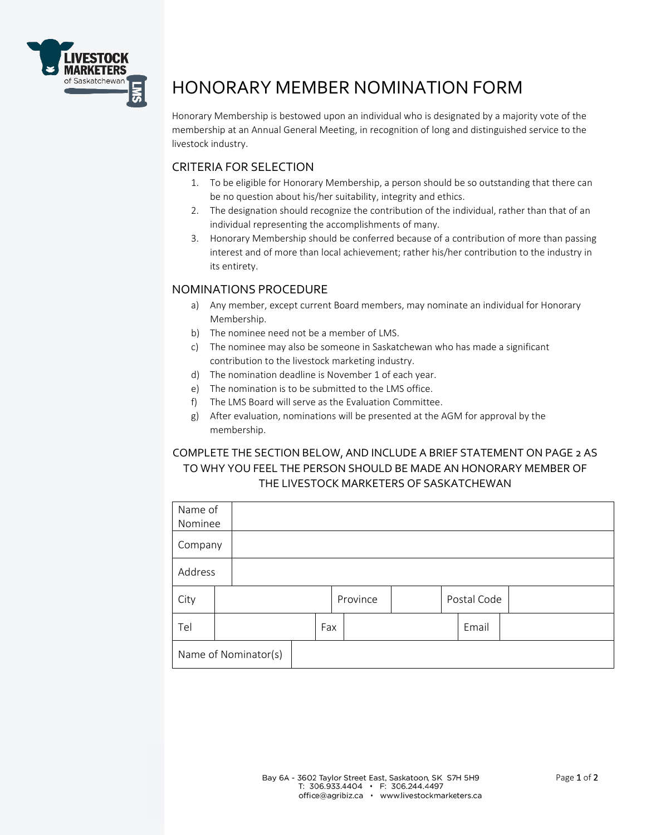

## HONORARY MEMBER NOMINATION FORM

Honorary Membership is bestowed upon an individual who is designated by a majority vote of the membership at an Annual General Meeting, in recognition of long and distinguished service to the livestock industry.

## CRITERIA FOR SELECTION

- 1. To be eligible for Honorary Membership, a person should be so outstanding that there can be no question about his/her suitability, integrity and ethics.
- 2. The designation should recognize the contribution of the individual, rather than that of an individual representing the accomplishments of many.
- 3. Honorary Membership should be conferred because of a contribution of more than passing interest and of more than local achievement; rather his/her contribution to the industry in its entirety.

## NOMINATIONS PROCEDURE

- a) Any member, except current Board members, may nominate an individual for Honorary Membership.
- b) The nominee need not be a member of LMS.
- c) The nominee may also be someone in Saskatchewan who has made a significant contribution to the livestock marketing industry.
- d) The nomination deadline is November 1 of each year.
- e) The nomination is to be submitted to the LMS office.
- f) The LMS Board will serve as the Evaluation Committee.
- g) After evaluation, nominations will be presented at the AGM for approval by the membership.

## COMPLETE THE SECTION BELOW, AND INCLUDE A BRIEF STATEMENT ON PAGE 2 AS TO WHY YOU FEEL THE PERSON SHOULD BE MADE AN HONORARY MEMBER OF THE LIVESTOCK MARKETERS OF SASKATCHEWAN

| Name of              |  |  |     |          |  |  |             |  |  |
|----------------------|--|--|-----|----------|--|--|-------------|--|--|
| Nominee              |  |  |     |          |  |  |             |  |  |
| Company              |  |  |     |          |  |  |             |  |  |
| Address              |  |  |     |          |  |  |             |  |  |
| City                 |  |  |     | Province |  |  | Postal Code |  |  |
| Tel                  |  |  | Fax |          |  |  | Email       |  |  |
| Name of Nominator(s) |  |  |     |          |  |  |             |  |  |